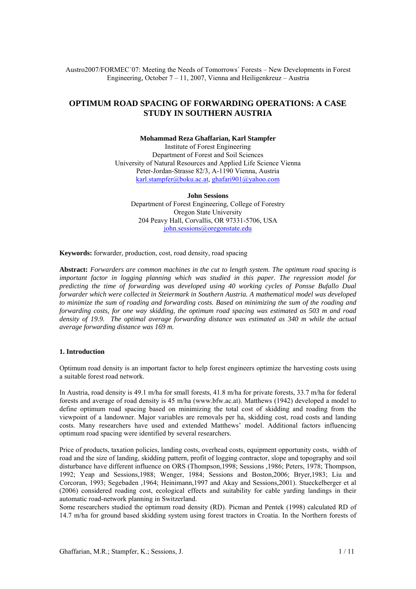Austro2007/FORMEC´07: Meeting the Needs of Tomorrows´ Forests – New Developments in Forest Engineering, October 7 – 11, 2007, Vienna and Heiligenkreuz – Austria

# **OPTIMUM ROAD SPACING OF FORWARDING OPERATIONS: A CASE STUDY IN SOUTHERN AUSTRIA**

#### **Mohammad Reza Ghaffarian, Karl Stampfer**

Institute of Forest Engineering Department of Forest and Soil Sciences University of Natural Resources and Applied Life Science Vienna Peter-Jordan-Strasse 82/3, A-1190 Vienna, Austria karl.stampfer@boku.ac.at, ghafari901@yahoo.com

**John Sessions**  Department of Forest Engineering, College of Forestry Oregon State University 204 Peavy Hall, Corvallis, OR 97331-5706, USA john.sessions@oregonstate.edu

**Keywords:** forwarder, production, cost, road density, road spacing

**Abstract:** *Forwarders are common machines in the cut to length system. The optimum road spacing is important factor in logging planning which was studied in this paper. The regression model for predicting the time of forwarding was developed using 40 working cycles of Ponsse Bufallo Dual forwarder which were collected in Steiermark in Southern Austria. A mathematical model was developed to minimize the sum of roading and forwarding costs. Based on minimizing the sum of the roading and forwarding costs, for one way skidding, the optimum road spacing was estimated as 503 m and road density of 19.9. The optimal average forwarding distance was estimated as 340 m while the actual average forwarding distance was 169 m.* 

### **1. Introduction**

Optimum road density is an important factor to help forest engineers optimize the harvesting costs using a suitable forest road network.

In Austria, road density is 49.1 m/ha for small forests, 41.8 m/ha for private forests, 33.7 m/ha for federal forests and average of road density is 45 m/ha (www.bfw.ac.at). Matthews (1942) developed a model to define optimum road spacing based on minimizing the total cost of skidding and roading from the viewpoint of a landowner. Major variables are removals per ha, skidding cost, road costs and landing costs. Many researchers have used and extended Matthews' model. Additional factors influencing optimum road spacing were identified by several researchers.

Price of products, taxation policies, landing costs, overhead costs, equipment opportunity costs, width of road and the size of landing, skidding pattern, profit of logging contractor, slope and topography and soil disturbance have different influence on ORS (Thompson,1998; Sessions ,1986; Peters, 1978; Thompson, 1992; Yeap and Sessions,1988; Wenger, 1984; Sessions and Boston,2006; Bryer,1983; Liu and Corcoran, 1993; Segebaden ,1964; Heinimann,1997 and Akay and Sessions,2001). Stueckelberger et al (2006) considered roading cost, ecological effects and suitability for cable yarding landings in their automatic road-network planning in Switzerland.

Some researchers studied the optimum road density (RD). Picman and Pentek (1998) calculated RD of 14.7 m/ha for ground based skidding system using forest tractors in Croatia. In the Northern forests of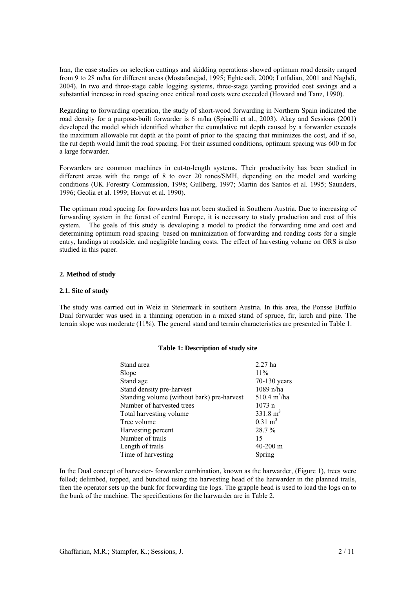Iran, the case studies on selection cuttings and skidding operations showed optimum road density ranged from 9 to 28 m/ha for different areas (Mostafanejad, 1995; Eghtesadi, 2000; Lotfalian, 2001 and Naghdi, 2004). In two and three-stage cable logging systems, three-stage yarding provided cost savings and a substantial increase in road spacing once critical road costs were exceeded (Howard and Tanz, 1990).

Regarding to forwarding operation, the study of short-wood forwarding in Northern Spain indicated the road density for a purpose-built forwarder is 6 m/ha (Spinelli et al., 2003). Akay and Sessions (2001) developed the model which identified whether the cumulative rut depth caused by a forwarder exceeds the maximum allowable rut depth at the point of prior to the spacing that minimizes the cost, and if so, the rut depth would limit the road spacing. For their assumed conditions, optimum spacing was 600 m for a large forwarder.

Forwarders are common machines in cut-to-length systems. Their productivity has been studied in different areas with the range of 8 to over 20 tones/SMH, depending on the model and working conditions (UK Forestry Commission, 1998; Gullberg, 1997; Martin dos Santos et al. 1995; Saunders, 1996; Geolia et al. 1999; Horvat et al. 1990).

The optimum road spacing for forwarders has not been studied in Southern Austria. Due to increasing of forwarding system in the forest of central Europe, it is necessary to study production and cost of this system. The goals of this study is developing a model to predict the forwarding time and cost and determining optimum road spacing based on minimization of forwarding and roading costs for a single entry, landings at roadside, and negligible landing costs. The effect of harvesting volume on ORS is also studied in this paper.

## **2. Method of study**

## **2.1. Site of study**

The study was carried out in Weiz in Steiermark in southern Austria. In this area, the Ponsse Buffalo Dual forwarder was used in a thinning operation in a mixed stand of spruce, fir, larch and pine. The terrain slope was moderate (11%). The general stand and terrain characteristics are presented in Table 1.

#### **Table 1: Description of study site**

| Stand area                                 | $2.27$ ha                     |
|--------------------------------------------|-------------------------------|
| Slope                                      | 11%                           |
| Stand age                                  | 70-130 years                  |
| Stand density pre-harvest                  | 1089 n/ha                     |
| Standing volume (without bark) pre-harvest | $510.4 \text{ m}^3/\text{ha}$ |
| Number of harvested trees                  | $1073$ n                      |
| Total harvesting volume                    | $331.8 \text{ m}^3$           |
| Tree volume                                | $0.31 \text{ m}^3$            |
| Harvesting percent                         | 28.7 %                        |
| Number of trails                           | 15                            |
| Length of trails                           | $40 - 200$ m                  |
| Time of harvesting                         | Spring                        |

In the Dual concept of harvester- forwarder combination, known as the harwarder, (Figure 1), trees were felled; delimbed, topped, and bunched using the harvesting head of the harwarder in the planned trails, then the operator sets up the bunk for forwarding the logs. The grapple head is used to load the logs on to the bunk of the machine. The specifications for the harwarder are in Table 2.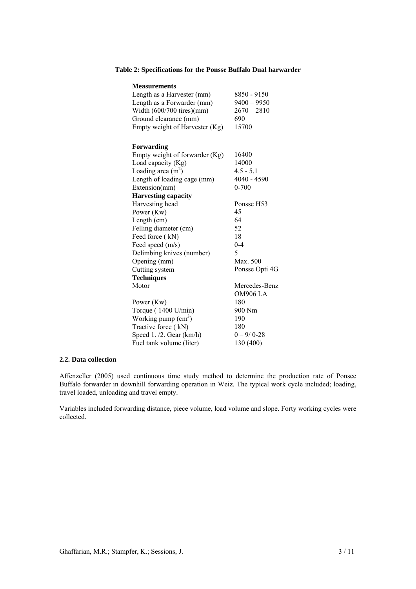# **Table 2: Specifications for the Ponsse Buffalo Dual harwarder**

| <b>Measurements</b>            |                 |
|--------------------------------|-----------------|
| Length as a Harvester (mm)     | 8850 - 9150     |
| Length as a Forwarder (mm)     | $9400 - 9950$   |
| Width $(600/700$ tires)(mm)    | $2670 - 2810$   |
| Ground clearance (mm)          | 690             |
| Empty weight of Harvester (Kg) | 15700           |
|                                |                 |
| Forwarding                     |                 |
| Empty weight of forwarder (Kg) | 16400           |
| Load capacity (Kg)             | 14000           |
| Loading area $(m2)$            | $4.5 - 5.1$     |
| Length of loading cage (mm)    | 4040 - 4590     |
| Extension(mm)                  | $0 - 700$       |
| <b>Harvesting capacity</b>     |                 |
| Harvesting head                | Ponsse H53      |
| Power (Kw)                     | 45              |
| Length (cm)                    | 64              |
| Felling diameter (cm)          | 52              |
| Feed force (kN)                | 18              |
| Feed speed (m/s)               | $0 - 4$         |
| Delimbing knives (number)      | 5               |
| Opening (mm)                   | Max. 500        |
| Cutting system                 | Ponsse Opti 4G  |
| <b>Techniques</b>              |                 |
| Motor                          | Mercedes-Benz   |
|                                | <b>OM906 LA</b> |
| Power (Kw)                     | 180             |
| Torque (1400 U/min)            | 900 Nm          |
| Working pump $(cm3)$           | 190             |
| Tractive force (kN)            | 180             |
| Speed 1. /2. Gear (km/h)       | $0 - 9/0 - 28$  |
| Fuel tank volume (liter)       | 130 (400)       |

## **2.2. Data collection**

Affenzeller (2005) used continuous time study method to determine the production rate of Ponsee Buffalo forwarder in downhill forwarding operation in Weiz. The typical work cycle included; loading, travel loaded, unloading and travel empty.

Variables included forwarding distance, piece volume, load volume and slope. Forty working cycles were collected.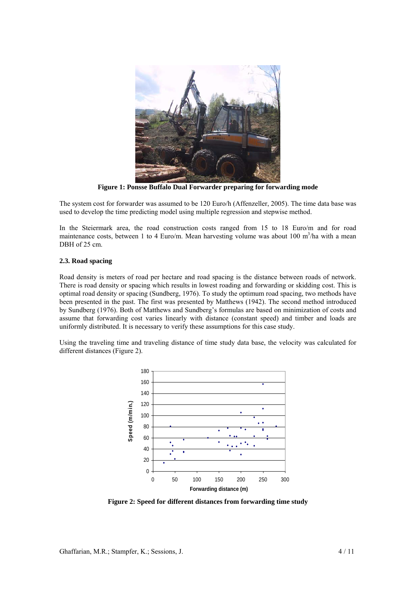

**Figure 1: Ponsse Buffalo Dual Forwarder preparing for forwarding mode** 

The system cost for forwarder was assumed to be 120 Euro/h (Affenzeller, 2005). The time data base was used to develop the time predicting model using multiple regression and stepwise method.

In the Steiermark area, the road construction costs ranged from 15 to 18 Euro/m and for road maintenance costs, between 1 to 4 Euro/m. Mean harvesting volume was about 100 m<sup>3</sup>/ha with a mean DBH of 25 cm.

## **2.3. Road spacing**

Road density is meters of road per hectare and road spacing is the distance between roads of network. There is road density or spacing which results in lowest roading and forwarding or skidding cost. This is optimal road density or spacing (Sundberg, 1976). To study the optimum road spacing, two methods have been presented in the past. The first was presented by Matthews (1942). The second method introduced by Sundberg (1976). Both of Matthews and Sundberg's formulas are based on minimization of costs and assume that forwarding cost varies linearly with distance (constant speed) and timber and loads are uniformly distributed. It is necessary to verify these assumptions for this case study.

Using the traveling time and traveling distance of time study data base, the velocity was calculated for different distances (Figure 2).



**Figure 2: Speed for different distances from forwarding time study**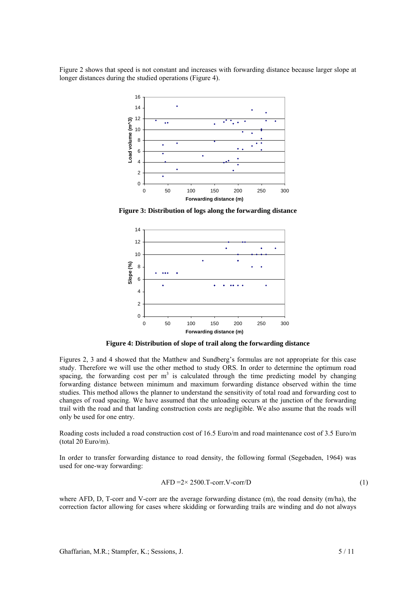Figure 2 shows that speed is not constant and increases with forwarding distance because larger slope at longer distances during the studied operations (Figure 4).



**Figure 3: Distribution of logs along the forwarding distance** 



**Figure 4: Distribution of slope of trail along the forwarding distance** 

Figures 2, 3 and 4 showed that the Matthew and Sundberg's formulas are not appropriate for this case study. Therefore we will use the other method to study ORS. In order to determine the optimum road spacing, the forwarding cost per  $m<sup>3</sup>$  is calculated through the time predicting model by changing forwarding distance between minimum and maximum forwarding distance observed within the time studies. This method allows the planner to understand the sensitivity of total road and forwarding cost to changes of road spacing. We have assumed that the unloading occurs at the junction of the forwarding trail with the road and that landing construction costs are negligible. We also assume that the roads will only be used for one entry.

Roading costs included a road construction cost of 16.5 Euro/m and road maintenance cost of 3.5 Euro/m (total 20 Euro/m).

In order to transfer forwarding distance to road density, the following formal (Segebaden, 1964) was used for one-way forwarding:

$$
AFD = 2 \times 2500 \text{.} \text{T-corr.} \text{V-corr/D} \tag{1}
$$

where AFD, D, T-corr and V-corr are the average forwarding distance (m), the road density (m/ha), the correction factor allowing for cases where skidding or forwarding trails are winding and do not always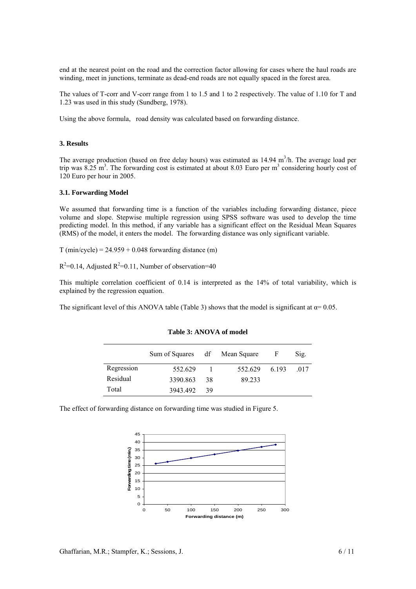end at the nearest point on the road and the correction factor allowing for cases where the haul roads are winding, meet in junctions, terminate as dead-end roads are not equally spaced in the forest area.

The values of T-corr and V-corr range from 1 to 1.5 and 1 to 2 respectively. The value of 1.10 for T and 1.23 was used in this study (Sundberg, 1978).

Using the above formula, road density was calculated based on forwarding distance.

### **3. Results**

The average production (based on free delay hours) was estimated as  $14.94 \text{ m}^3/\text{h}$ . The average load per trip was 8.25 m<sup>3</sup>. The forwarding cost is estimated at about 8.03 Euro per m<sup>3</sup> considering hourly cost of 120 Euro per hour in 2005.

## **3.1. Forwarding Model**

We assumed that forwarding time is a function of the variables including forwarding distance, piece volume and slope. Stepwise multiple regression using SPSS software was used to develop the time predicting model. In this method, if any variable has a significant effect on the Residual Mean Squares (RMS) of the model, it enters the model. The forwarding distance was only significant variable.

 $T$  (min/cycle) = 24.959 + 0.048 forwarding distance (m)

 $R^2$ =0.14, Adjusted  $R^2$ =0.11, Number of observation=40

This multiple correlation coefficient of 0.14 is interpreted as the 14% of total variability, which is explained by the regression equation.

The significant level of this ANOVA table (Table 3) shows that the model is significant at  $\alpha$ = 0.05.

|            | Sum of Squares df Mean Square |      |               | F | Sig. |
|------------|-------------------------------|------|---------------|---|------|
| Regression | 552.629                       |      | 552.629 6.193 |   | -017 |
| Residual   | 3390.863                      | -38  | 89.233        |   |      |
| Total      | 3943.492                      | - 39 |               |   |      |

#### **Table 3: ANOVA of model**

The effect of forwarding distance on forwarding time was studied in Figure 5.

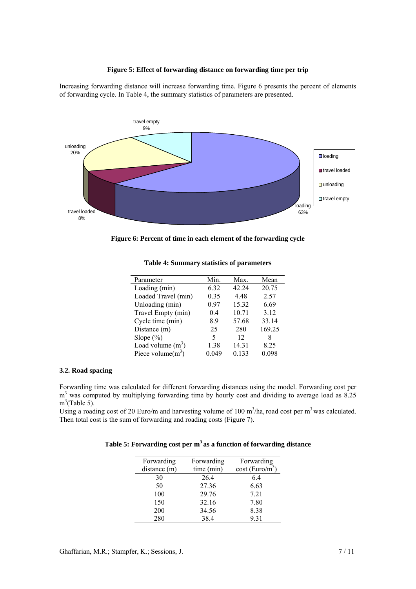## **Figure 5: Effect of forwarding distance on forwarding time per trip**

Increasing forwarding distance will increase forwarding time. Figure 6 presents the percent of elements of forwarding cycle. In Table 4, the summary statistics of parameters are presented.



**Figure 6: Percent of time in each element of the forwarding cycle** 

| Parameter            | Min.  | Max.  | Mean   |
|----------------------|-------|-------|--------|
| Loading (min)        | 6.32  | 42.24 | 20.75  |
| Loaded Travel (min)  | 0.35  | 4.48  | 2.57   |
| Unloading (min)      | 0.97  | 15.32 | 6.69   |
| Travel Empty (min)   | 04    | 10.71 | 3.12   |
| Cycle time (min)     | 8.9   | 57.68 | 33.14  |
| Distance (m)         | 25    | 280   | 169.25 |
| Slope $(\%)$         | 5     | 12    | 8      |
| Load volume $(m^3)$  | 1.38  | 14.31 | 8.25   |
| Piece volume $(m^3)$ | 0.049 | 0.133 | 0.098  |

**Table 4: Summary statistics of parameters** 

## **3.2. Road spacing**

Forwarding time was calculated for different forwarding distances using the model. Forwarding cost per m<sup>3</sup> was computed by multiplying forwarding time by hourly cost and dividing to average load as 8.25  $m^3$ (Table 5).

Using a roading cost of 20 Euro/m and harvesting volume of 100  $m^3$ /ha, road cost per  $m^3$  was calculated. Then total cost is the sum of forwarding and roading costs (Figure 7).

# **Table 5: Forwarding cost per m3 as a function of forwarding distance**

| Forwarding   | Forwarding | Forwarding                  |  |
|--------------|------------|-----------------------------|--|
| distance (m) | time (min) | cost (Euro/m <sup>3</sup> ) |  |
| 30           | 26.4       | 6.4                         |  |
| 50           | 27.36      | 6.63                        |  |
| 100          | 29.76      | 7.21                        |  |
| 150          | 32.16      | 7.80                        |  |
| 200          | 34.56      | 8.38                        |  |
| 280          | 38.4       | 9 3 1                       |  |
|              |            |                             |  |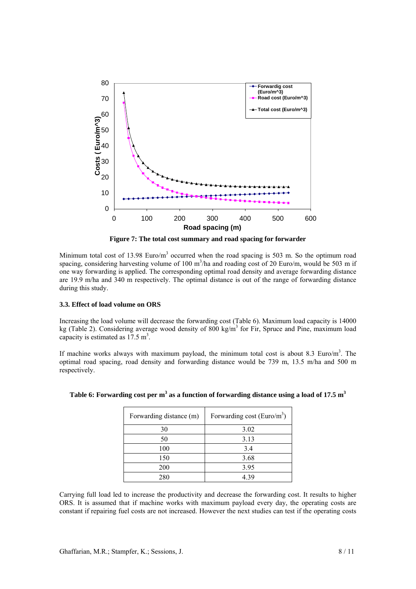

**Figure 7: The total cost summary and road spacing for forwarder** 

Minimum total cost of 13.98 Euro/ $m<sup>3</sup>$  occurred when the road spacing is 503 m. So the optimum road spacing, considering harvesting volume of 100  $m<sup>3</sup>/h$ a and roading cost of 20 Euro/m, would be 503 m if one way forwarding is applied. The corresponding optimal road density and average forwarding distance are 19.9 m/ha and 340 m respectively. The optimal distance is out of the range of forwarding distance during this study.

## **3.3. Effect of load volume on ORS**

Increasing the load volume will decrease the forwarding cost (Table 6). Maximum load capacity is 14000 kg (Table 2). Considering average wood density of 800 kg/m<sup>3</sup> for Fir, Spruce and Pine, maximum load capacity is estimated as  $17.5 \text{ m}^3$ .

If machine works always with maximum payload, the minimum total cost is about 8.3 Euro/ $m<sup>3</sup>$ . The optimal road spacing, road density and forwarding distance would be 739 m, 13.5 m/ha and 500 m respectively.

| Forwarding distance (m) | Forwarding cost (Euro/ $m3$ ) |
|-------------------------|-------------------------------|
| 30                      | 3.02                          |
| 50                      | 3.13                          |
| 100                     | 3.4                           |
| 150                     | 3.68                          |
| 200                     | 3.95                          |
| 280                     | 4 39                          |

| Table 6: Forwarding cost per $m3$ as a function of forwarding distance using a load of 17.5 $m3$ |  |  |
|--------------------------------------------------------------------------------------------------|--|--|
|                                                                                                  |  |  |

Carrying full load led to increase the productivity and decrease the forwarding cost. It results to higher ORS. It is assumed that if machine works with maximum payload every day, the operating costs are constant if repairing fuel costs are not increased. However the next studies can test if the operating costs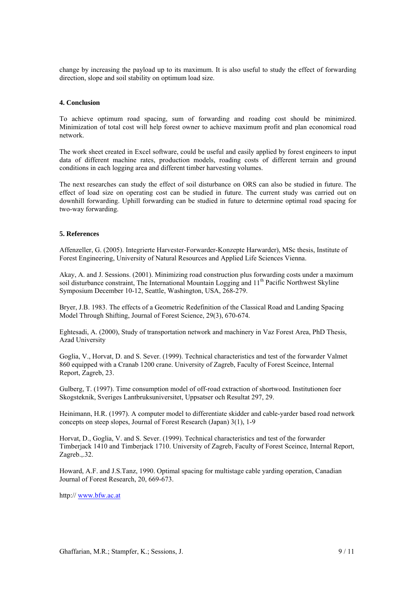change by increasing the payload up to its maximum. It is also useful to study the effect of forwarding direction, slope and soil stability on optimum load size.

## **4. Conclusion**

To achieve optimum road spacing, sum of forwarding and roading cost should be minimized. Minimization of total cost will help forest owner to achieve maximum profit and plan economical road network.

The work sheet created in Excel software, could be useful and easily applied by forest engineers to input data of different machine rates, production models, roading costs of different terrain and ground conditions in each logging area and different timber harvesting volumes.

The next researches can study the effect of soil disturbance on ORS can also be studied in future. The effect of load size on operating cost can be studied in future. The current study was carried out on downhill forwarding. Uphill forwarding can be studied in future to determine optimal road spacing for two-way forwarding.

## **5. References**

Affenzeller, G. (2005). Integrierte Harvester-Forwarder-Konzepte Harwarder), MSc thesis, Institute of Forest Engineering, University of Natural Resources and Applied Life Sciences Vienna.

Akay, A. and J. Sessions. (2001). Minimizing road construction plus forwarding costs under a maximum soil disturbance constraint, The International Mountain Logging and 11<sup>th</sup> Pacific Northwest Skyline Symposium December 10-12, Seattle, Washington, USA, 268-279.

Bryer, J.B. 1983. The effects of a Geometric Redefinition of the Classical Road and Landing Spacing Model Through Shifting, Journal of Forest Science, 29(3), 670-674.

Eghtesadi, A. (2000), Study of transportation network and machinery in Vaz Forest Area, PhD Thesis, Azad University

Goglia, V., Horvat, D. and S. Sever. (1999). Technical characteristics and test of the forwarder Valmet 860 equipped with a Cranab 1200 crane. University of Zagreb, Faculty of Forest Sceince, Internal Report, Zagreb, 23.

Gulberg, T. (1997). Time consumption model of off-road extraction of shortwood. Institutionen foer Skogsteknik, Sveriges Lantbruksuniversitet, Uppsatser och Resultat 297, 29.

Heinimann, H.R. (1997). A computer model to differentiate skidder and cable-yarder based road network concepts on steep slopes, Journal of Forest Research (Japan) 3(1), 1-9

Horvat, D., Goglia, V. and S. Sever. (1999). Technical characteristics and test of the forwarder Timberjack 1410 and Timberjack 1710. University of Zagreb, Faculty of Forest Sceince, Internal Report, Zagreb.,.32.

Howard, A.F. and J.S.Tanz, 1990. Optimal spacing for multistage cable yarding operation, Canadian Journal of Forest Research, 20, 669-673.

http:// www.bfw.ac.at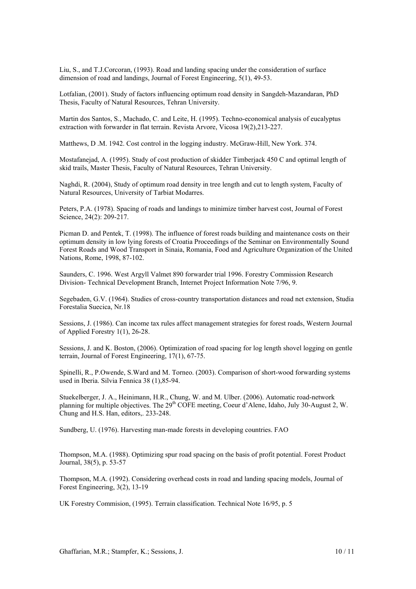Liu, S., and T.J.Corcoran, (1993). Road and landing spacing under the consideration of surface dimension of road and landings, Journal of Forest Engineering, 5(1), 49-53.

Lotfalian, (2001). Study of factors influencing optimum road density in Sangdeh-Mazandaran, PhD Thesis, Faculty of Natural Resources, Tehran University.

Martin dos Santos, S., Machado, C. and Leite, H. (1995). Techno-economical analysis of eucalyptus extraction with forwarder in flat terrain. Revista Arvore, Vicosa 19(2),213-227.

Matthews, D .M. 1942. Cost control in the logging industry. McGraw-Hill, New York. 374.

Mostafanejad, A. (1995). Study of cost production of skidder Timberjack 450 C and optimal length of skid trails, Master Thesis, Faculty of Natural Resources, Tehran University.

Naghdi, R. (2004), Study of optimum road density in tree length and cut to length system, Faculty of Natural Resources, University of Tarbiat Modarres.

Peters, P.A. (1978). Spacing of roads and landings to minimize timber harvest cost, Journal of Forest Science, 24(2): 209-217.

Picman D. and Pentek, T. (1998). The influence of forest roads building and maintenance costs on their optimum density in low lying forests of Croatia Proceedings of the Seminar on Environmentally Sound Forest Roads and Wood Transport in Sinaia, Romania, Food and Agriculture Organization of the United Nations, Rome, 1998, 87-102.

Saunders, C. 1996. West Argyll Valmet 890 forwarder trial 1996. Forestry Commission Research Division- Technical Development Branch, Internet Project Information Note 7/96, 9.

Segebaden, G.V. (1964). Studies of cross-country transportation distances and road net extension, Studia Forestalia Suecica, Nr.18

Sessions, J. (1986). Can income tax rules affect management strategies for forest roads, Western Journal of Applied Forestry 1(1), 26-28.

Sessions, J. and K. Boston, (2006). Optimization of road spacing for log length shovel logging on gentle terrain, Journal of Forest Engineering, 17(1), 67-75.

Spinelli, R., P.Owende, S.Ward and M. Torneo. (2003). Comparison of short-wood forwarding systems used in Iberia. Silvia Fennica 38 (1),85-94.

Stuekelberger, J. A., Heinimann, H.R., Chung, W. and M. Ulber. (2006). Automatic road-network planning for multiple objectives. The 29th COFE meeting, Coeur d'Alene, Idaho, July 30-August 2, W. Chung and H.S. Han, editors,. 233-248.

Sundberg, U. (1976). Harvesting man-made forests in developing countries. FAO

Thompson, M.A. (1988). Optimizing spur road spacing on the basis of profit potential. Forest Product Journal, 38(5), p. 53-57

Thompson, M.A. (1992). Considering overhead costs in road and landing spacing models, Journal of Forest Engineering, 3(2), 13-19

UK Forestry Commision, (1995). Terrain classification. Technical Note 16/95, p. 5